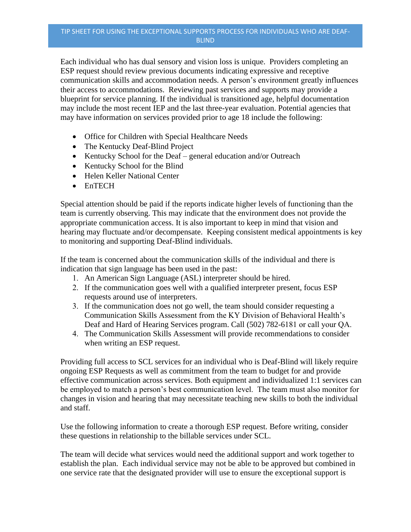Each individual who has dual sensory and vision loss is unique. Providers completing an ESP request should review previous documents indicating expressive and receptive communication skills and accommodation needs. A person's environment greatly influences their access to accommodations. Reviewing past services and supports may provide a blueprint for service planning. If the individual is transitioned age, helpful documentation may include the most recent IEP and the last three-year evaluation. Potential agencies that may have information on services provided prior to age 18 include the following:

- Office for Children with Special Healthcare Needs
- The Kentucky Deaf-Blind Project
- Kentucky School for the Deaf general education and/or Outreach
- Kentucky School for the Blind
- Helen Keller National Center
- EnTECH

Special attention should be paid if the reports indicate higher levels of functioning than the team is currently observing. This may indicate that the environment does not provide the appropriate communication access. It is also important to keep in mind that vision and hearing may fluctuate and/or decompensate. Keeping consistent medical appointments is key to monitoring and supporting Deaf-Blind individuals.

If the team is concerned about the communication skills of the individual and there is indication that sign language has been used in the past:

- 1. An American Sign Language (ASL) interpreter should be hired.
- 2. If the communication goes well with a qualified interpreter present, focus ESP requests around use of interpreters.
- 3. If the communication does not go well, the team should consider requesting a Communication Skills Assessment from the KY Division of Behavioral Health's Deaf and Hard of Hearing Services program. Call (502) 782-6181 or call your QA.
- 4. The Communication Skills Assessment will provide recommendations to consider when writing an ESP request.

Providing full access to SCL services for an individual who is Deaf-Blind will likely require ongoing ESP Requests as well as commitment from the team to budget for and provide effective communication across services. Both equipment and individualized 1:1 services can be employed to match a person's best communication level. The team must also monitor for changes in vision and hearing that may necessitate teaching new skills to both the individual and staff.

Use the following information to create a thorough ESP request. Before writing, consider these questions in relationship to the billable services under SCL.

The team will decide what services would need the additional support and work together to establish the plan. Each individual service may not be able to be approved but combined in one service rate that the designated provider will use to ensure the exceptional support is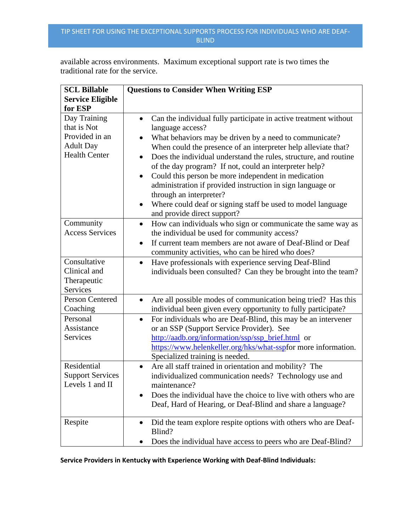## TIP SHEET FOR USING THE EXCEPTIONAL SUPPORTS PROCESS FOR INDIVIDUALS WHO ARE DEAF-BLIND

available across environments. Maximum exceptional support rate is two times the traditional rate for the service.

| <b>SCL Billable</b>                                                                       | <b>Questions to Consider When Writing ESP</b>                                                                                                                                                                                                                                                                                                                                                                                                                                                                                                                                                                                       |
|-------------------------------------------------------------------------------------------|-------------------------------------------------------------------------------------------------------------------------------------------------------------------------------------------------------------------------------------------------------------------------------------------------------------------------------------------------------------------------------------------------------------------------------------------------------------------------------------------------------------------------------------------------------------------------------------------------------------------------------------|
| <b>Service Eligible</b>                                                                   |                                                                                                                                                                                                                                                                                                                                                                                                                                                                                                                                                                                                                                     |
| for ESP                                                                                   |                                                                                                                                                                                                                                                                                                                                                                                                                                                                                                                                                                                                                                     |
| Day Training<br>that is Not<br>Provided in an<br><b>Adult Day</b><br><b>Health Center</b> | Can the individual fully participate in active treatment without<br>$\bullet$<br>language access?<br>What behaviors may be driven by a need to communicate?<br>$\bullet$<br>When could the presence of an interpreter help alleviate that?<br>Does the individual understand the rules, structure, and routine<br>of the day program? If not, could an interpreter help?<br>Could this person be more independent in medication<br>$\bullet$<br>administration if provided instruction in sign language or<br>through an interpreter?<br>Where could deaf or signing staff be used to model language<br>and provide direct support? |
| Community<br><b>Access Services</b>                                                       | How can individuals who sign or communicate the same way as<br>$\bullet$<br>the individual be used for community access?<br>If current team members are not aware of Deaf-Blind or Deaf<br>$\bullet$<br>community activities, who can be hired who does?                                                                                                                                                                                                                                                                                                                                                                            |
| Consultative<br>Clinical and<br>Therapeutic<br><b>Services</b>                            | Have professionals with experience serving Deaf-Blind<br>$\bullet$<br>individuals been consulted? Can they be brought into the team?                                                                                                                                                                                                                                                                                                                                                                                                                                                                                                |
| <b>Person Centered</b><br>Coaching                                                        | Are all possible modes of communication being tried? Has this<br>$\bullet$<br>individual been given every opportunity to fully participate?                                                                                                                                                                                                                                                                                                                                                                                                                                                                                         |
| Personal<br>Assistance<br>Services                                                        | For individuals who are Deaf-Blind, this may be an intervener<br>$\bullet$<br>or an SSP (Support Service Provider). See<br>http://aadb.org/information/ssp/ssp_brief.html or<br>https://www.helenkeller.org/hks/what-sspfor more information.<br>Specialized training is needed.                                                                                                                                                                                                                                                                                                                                                    |
| Residential<br><b>Support Services</b><br>Levels 1 and II                                 | Are all staff trained in orientation and mobility? The<br>individualized communication needs? Technology use and<br>maintenance?<br>Does the individual have the choice to live with others who are<br>Deaf, Hard of Hearing, or Deaf-Blind and share a language?                                                                                                                                                                                                                                                                                                                                                                   |
| Respite                                                                                   | Did the team explore respite options with others who are Deaf-<br>$\bullet$<br>Blind?<br>Does the individual have access to peers who are Deaf-Blind?                                                                                                                                                                                                                                                                                                                                                                                                                                                                               |

**Service Providers in Kentucky with Experience Working with Deaf-Blind Individuals:**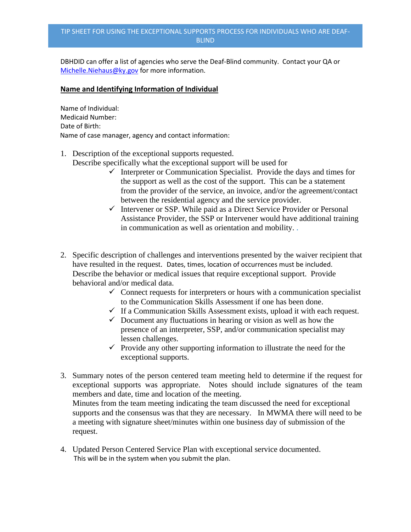## TIP SHEET FOR USING THE EXCEPTIONAL SUPPORTS PROCESS FOR INDIVIDUALS WHO ARE DEAF-BLIND

DBHDID can offer a list of agencies who serve the Deaf-Blind community. Contact your QA or [Michelle.Niehaus@ky.gov](mailto:Michelle.Niehaus@ky.gov) for more information.

## **Name and Identifying Information of Individual**

Name of Individual: Medicaid Number: Date of Birth: Name of case manager, agency and contact information:

- 1. Description of the exceptional supports requested. Describe specifically what the exceptional support will be used for
	- $\checkmark$  Interpreter or Communication Specialist. Provide the days and times for the support as well as the cost of the support. This can be a statement from the provider of the service, an invoice, and/or the agreement/contact between the residential agency and the service provider.
	- $\checkmark$  Intervener or SSP. While paid as a Direct Service Provider or Personal Assistance Provider, the SSP or Intervener would have additional training in communication as well as orientation and mobility. .
- 2. Specific description of challenges and interventions presented by the waiver recipient that have resulted in the request. Dates, times, location of occurrences must be included. Describe the behavior or medical issues that require exceptional support. Provide behavioral and/or medical data.
	- $\checkmark$  Connect requests for interpreters or hours with a communication specialist to the Communication Skills Assessment if one has been done.
	- $\checkmark$  If a Communication Skills Assessment exists, upload it with each request.
	- $\checkmark$  Document any fluctuations in hearing or vision as well as how the presence of an interpreter, SSP, and/or communication specialist may lessen challenges.
	- $\checkmark$  Provide any other supporting information to illustrate the need for the exceptional supports.
- 3. Summary notes of the person centered team meeting held to determine if the request for exceptional supports was appropriate. Notes should include signatures of the team members and date, time and location of the meeting. Minutes from the team meeting indicating the team discussed the need for exceptional supports and the consensus was that they are necessary. In MWMA there will need to be

a meeting with signature sheet/minutes within one business day of submission of the request.

4. Updated Person Centered Service Plan with exceptional service documented. This will be in the system when you submit the plan.